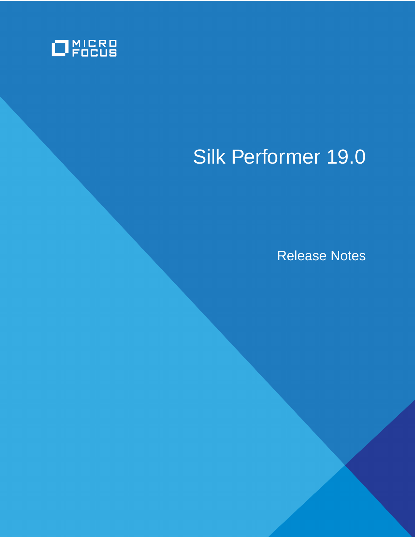

# Silk Performer 19.0

Release Notes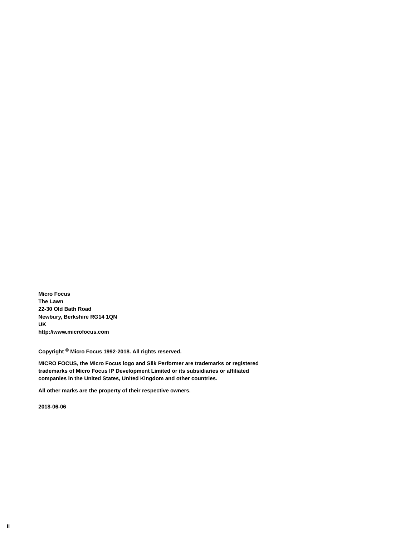**Micro Focus The Lawn 22-30 Old Bath Road Newbury, Berkshire RG14 1QN UK http://www.microfocus.com**

**Copyright © Micro Focus 1992-2018. All rights reserved.**

**MICRO FOCUS, the Micro Focus logo and Silk Performer are trademarks or registered trademarks of Micro Focus IP Development Limited or its subsidiaries or affiliated companies in the United States, United Kingdom and other countries.**

**All other marks are the property of their respective owners.**

**2018-06-06**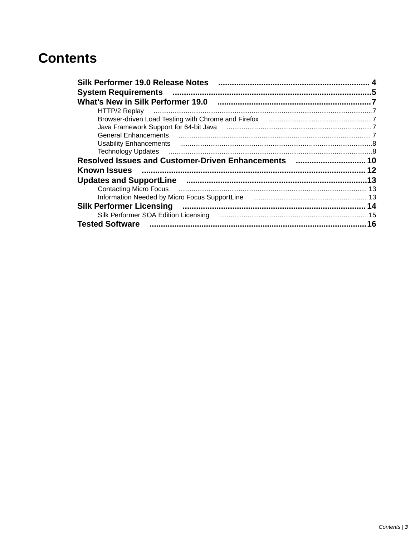## **Contents**

| Silk Performer 19.0 Release Notes                                                                              |    |
|----------------------------------------------------------------------------------------------------------------|----|
| <b>System Requirements</b>                                                                                     |    |
| What's New in Silk Performer 19.0                                                                              |    |
| HTTP/2 Replay                                                                                                  |    |
|                                                                                                                |    |
|                                                                                                                |    |
|                                                                                                                |    |
|                                                                                                                |    |
| <b>Technology Updates</b>                                                                                      |    |
| Resolved Issues and Customer-Driven Enhancements  10                                                           |    |
| <b>Known Issues</b>                                                                                            |    |
| Updates and SupportLine measurement means and states and SupportLine measurement and the Updates and SupportLi |    |
| Contacting Micro Focus <b>Manual Contacting Micro</b> Focus                                                    |    |
|                                                                                                                |    |
| <b>Silk Performer Licensing</b>                                                                                |    |
|                                                                                                                |    |
| <b>Tested Software</b>                                                                                         | 16 |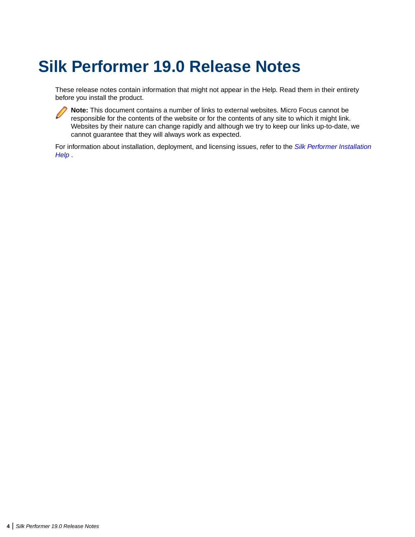## <span id="page-3-0"></span>**Silk Performer 19.0 Release Notes**

These release notes contain information that might not appear in the Help. Read them in their entirety before you install the product.



**Note:** This document contains a number of links to external websites. Micro Focus cannot be responsible for the contents of the website or for the contents of any site to which it might link. Websites by their nature can change rapidly and although we try to keep our links up-to-date, we cannot guarantee that they will always work as expected.

For information about installation, deployment, and licensing issues, refer to the *[Silk Performer Installation](http://documentation.microfocus.com/help/topic/com.microfocus.silkperformer.doc/GUID-25D983FD-6BA3-42E6-B61F-55964A24DF36.html) [Help](http://documentation.microfocus.com/help/topic/com.microfocus.silkperformer.doc/GUID-25D983FD-6BA3-42E6-B61F-55964A24DF36.html)* .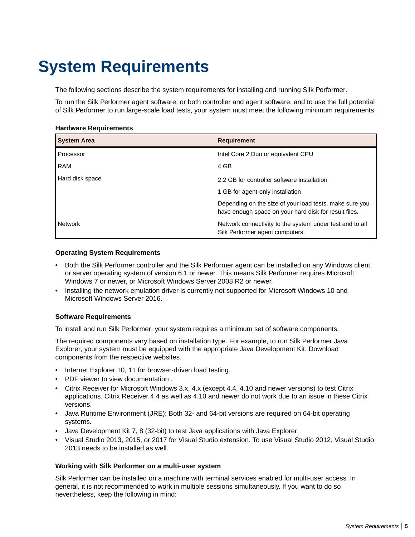## <span id="page-4-0"></span>**System Requirements**

The following sections describe the system requirements for installing and running Silk Performer.

To run the Silk Performer agent software, or both controller and agent software, and to use the full potential of Silk Performer to run large-scale load tests, your system must meet the following minimum requirements:

#### **Hardware Requirements**

| <b>System Area</b> | <b>Requirement</b>                                                                                               |
|--------------------|------------------------------------------------------------------------------------------------------------------|
| Processor          | Intel Core 2 Duo or equivalent CPU                                                                               |
| <b>RAM</b>         | 4 GB                                                                                                             |
| Hard disk space    | 2.2 GB for controller software installation                                                                      |
|                    | 1 GB for agent-only installation                                                                                 |
|                    | Depending on the size of your load tests, make sure you<br>have enough space on your hard disk for result files. |
| <b>Network</b>     | Network connectivity to the system under test and to all<br>Silk Performer agent computers.                      |

#### **Operating System Requirements**

- Both the Silk Performer controller and the Silk Performer agent can be installed on any Windows client or server operating system of version 6.1 or newer. This means Silk Performer requires Microsoft Windows 7 or newer, or Microsoft Windows Server 2008 R2 or newer.
- Installing the network emulation driver is currently not supported for Microsoft Windows 10 and Microsoft Windows Server 2016.

#### **Software Requirements**

To install and run Silk Performer, your system requires a minimum set of software components.

The required components vary based on installation type. For example, to run Silk Performer Java Explorer, your system must be equipped with the appropriate Java Development Kit. Download components from the respective websites.

- Internet Explorer 10, 11 for browser-driven load testing.
- PDF viewer to view documentation .
- Citrix Receiver for Microsoft Windows 3.x, 4.x (except 4.4, 4.10 and newer versions) to test Citrix applications. Citrix Receiver 4.4 as well as 4.10 and newer do not work due to an issue in these Citrix versions.
- Java Runtime Environment (JRE): Both 32- and 64-bit versions are required on 64-bit operating systems.
- Java Development Kit 7, 8 (32-bit) to test Java applications with Java Explorer.
- Visual Studio 2013, 2015, or 2017 for Visual Studio extension. To use Visual Studio 2012, Visual Studio 2013 needs to be installed as well.

#### **Working with Silk Performer on a multi-user system**

Silk Performer can be installed on a machine with terminal services enabled for multi-user access. In general, it is not recommended to work in multiple sessions simultaneously. If you want to do so nevertheless, keep the following in mind: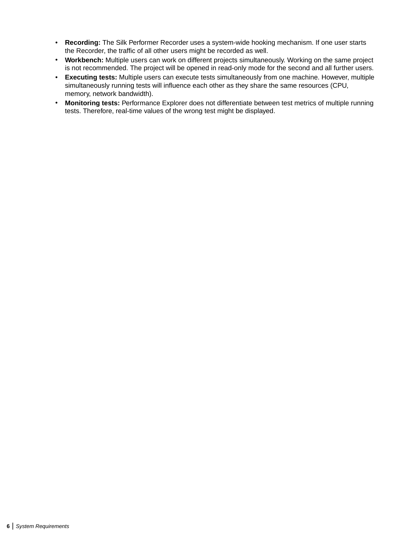- **Recording:** The Silk Performer Recorder uses a system-wide hooking mechanism. If one user starts the Recorder, the traffic of all other users might be recorded as well.
- **Workbench:** Multiple users can work on different projects simultaneously. Working on the same project is not recommended. The project will be opened in read-only mode for the second and all further users.
- **Executing tests:** Multiple users can execute tests simultaneously from one machine. However, multiple simultaneously running tests will influence each other as they share the same resources (CPU, memory, network bandwidth).
- **Monitoring tests:** Performance Explorer does not differentiate between test metrics of multiple running tests. Therefore, real-time values of the wrong test might be displayed.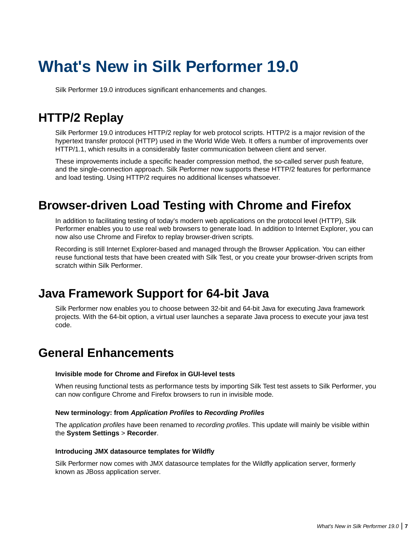## <span id="page-6-0"></span>**What's New in Silk Performer 19.0**

Silk Performer 19.0 introduces significant enhancements and changes.

## **HTTP/2 Replay**

Silk Performer 19.0 introduces HTTP/2 replay for web protocol scripts. HTTP/2 is a major revision of the hypertext transfer protocol (HTTP) used in the World Wide Web. It offers a number of improvements over HTTP/1.1, which results in a considerably faster communication between client and server.

These improvements include a specific header compression method, the so-called server push feature, and the single-connection approach. Silk Performer now supports these HTTP/2 features for performance and load testing. Using HTTP/2 requires no additional licenses whatsoever.

## **Browser-driven Load Testing with Chrome and Firefox**

In addition to facilitating testing of today's modern web applications on the protocol level (HTTP), Silk Performer enables you to use real web browsers to generate load. In addition to Internet Explorer, you can now also use Chrome and Firefox to replay browser-driven scripts.

Recording is still Internet Explorer-based and managed through the Browser Application. You can either reuse functional tests that have been created with Silk Test, or you create your browser-driven scripts from scratch within Silk Performer.

### **Java Framework Support for 64-bit Java**

Silk Performer now enables you to choose between 32-bit and 64-bit Java for executing Java framework projects. With the 64-bit option, a virtual user launches a separate Java process to execute your java test code.

### **General Enhancements**

#### **Invisible mode for Chrome and Firefox in GUI-level tests**

When reusing functional tests as performance tests by importing Silk Test test assets to Silk Performer, you can now configure Chrome and Firefox browsers to run in invisible mode.

#### **New terminology: from Application Profiles to Recording Profiles**

The *application profiles* have been renamed to *recording profiles*. This update will mainly be visible within the **System Settings** > **Recorder**.

#### **Introducing JMX datasource templates for Wildfly**

Silk Performer now comes with JMX datasource templates for the Wildfly application server, formerly known as JBoss application server.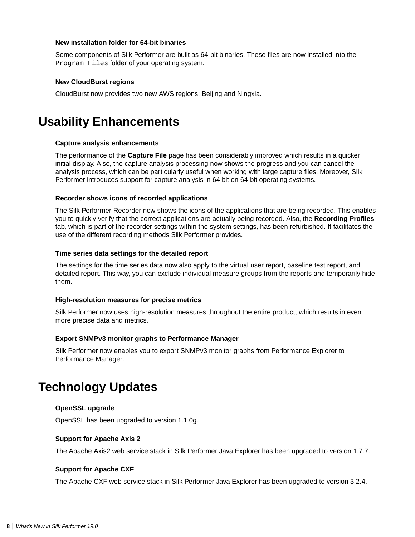#### <span id="page-7-0"></span>**New installation folder for 64-bit binaries**

Some components of Silk Performer are built as 64-bit binaries. These files are now installed into the Program Files folder of your operating system.

#### **New CloudBurst regions**

CloudBurst now provides two new AWS regions: Beijing and Ningxia.

### **Usability Enhancements**

#### **Capture analysis enhancements**

The performance of the **Capture File** page has been considerably improved which results in a quicker initial display. Also, the capture analysis processing now shows the progress and you can cancel the analysis process, which can be particularly useful when working with large capture files. Moreover, Silk Performer introduces support for capture analysis in 64 bit on 64-bit operating systems.

#### **Recorder shows icons of recorded applications**

The Silk Performer Recorder now shows the icons of the applications that are being recorded. This enables you to quickly verify that the correct applications are actually being recorded. Also, the **Recording Profiles** tab, which is part of the recorder settings within the system settings, has been refurbished. It facilitates the use of the different recording methods Silk Performer provides.

#### **Time series data settings for the detailed report**

The settings for the time series data now also apply to the virtual user report, baseline test report, and detailed report. This way, you can exclude individual measure groups from the reports and temporarily hide them.

#### **High-resolution measures for precise metrics**

Silk Performer now uses high-resolution measures throughout the entire product, which results in even more precise data and metrics.

#### **Export SNMPv3 monitor graphs to Performance Manager**

Silk Performer now enables you to export SNMPv3 monitor graphs from Performance Explorer to Performance Manager.

### **Technology Updates**

#### **OpenSSL upgrade**

OpenSSL has been upgraded to version 1.1.0g.

#### **Support for Apache Axis 2**

The Apache Axis2 web service stack in Silk Performer Java Explorer has been upgraded to version 1.7.7.

#### **Support for Apache CXF**

The Apache CXF web service stack in Silk Performer Java Explorer has been upgraded to version 3.2.4.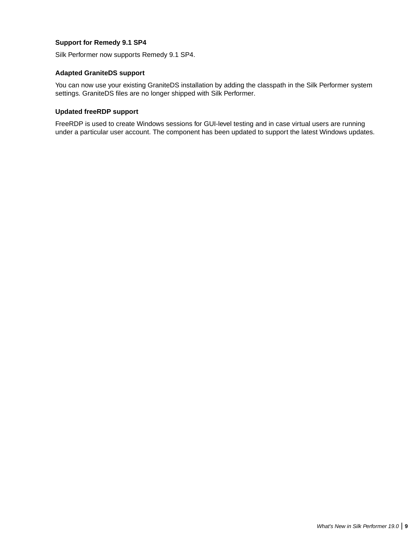#### **Support for Remedy 9.1 SP4**

Silk Performer now supports Remedy 9.1 SP4.

#### **Adapted GraniteDS support**

You can now use your existing GraniteDS installation by adding the classpath in the Silk Performer system settings. GraniteDS files are no longer shipped with Silk Performer.

#### **Updated freeRDP support**

FreeRDP is used to create Windows sessions for GUI-level testing and in case virtual users are running under a particular user account. The component has been updated to support the latest Windows updates.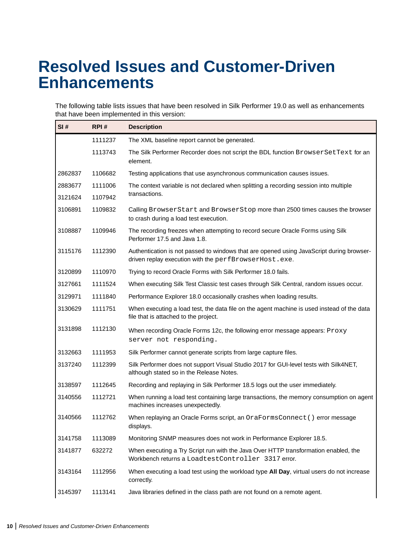## <span id="page-9-0"></span>**Resolved Issues and Customer-Driven Enhancements**

The following table lists issues that have been resolved in Silk Performer 19.0 as well as enhancements that have been implemented in this version:

| SI#                | RPI#               | <b>Description</b>                                                                                                                                |
|--------------------|--------------------|---------------------------------------------------------------------------------------------------------------------------------------------------|
|                    | 1111237            | The XML baseline report cannot be generated.                                                                                                      |
|                    | 1113743            | The Silk Performer Recorder does not script the BDL function BrowserSetText for an<br>element.                                                    |
| 2862837            | 1106682            | Testing applications that use asynchronous communication causes issues.                                                                           |
| 2883677<br>3121624 | 1111006<br>1107942 | The context variable is not declared when splitting a recording session into multiple<br>transactions.                                            |
| 3106891            | 1109832            | Calling BrowserStart and BrowserStop more than 2500 times causes the browser<br>to crash during a load test execution.                            |
| 3108887            | 1109946            | The recording freezes when attempting to record secure Oracle Forms using Silk<br>Performer 17.5 and Java 1.8.                                    |
| 3115176            | 1112390            | Authentication is not passed to windows that are opened using JavaScript during browser-<br>driven replay execution with the perfBrowserHost.exe. |
| 3120899            | 1110970            | Trying to record Oracle Forms with Silk Performer 18.0 fails.                                                                                     |
| 3127661            | 1111524            | When executing Silk Test Classic test cases through Silk Central, random issues occur.                                                            |
| 3129971            | 1111840            | Performance Explorer 18.0 occasionally crashes when loading results.                                                                              |
| 3130629            | 1111751            | When executing a load test, the data file on the agent machine is used instead of the data<br>file that is attached to the project.               |
| 3131898            | 1112130            | When recording Oracle Forms 12c, the following error message appears: Proxy<br>server not responding.                                             |
| 3132663            | 1111953            | Silk Performer cannot generate scripts from large capture files.                                                                                  |
| 3137240            | 1112399            | Silk Performer does not support Visual Studio 2017 for GUI-level tests with Silk4NET,<br>although stated so in the Release Notes.                 |
| 3138597            | 1112645            | Recording and replaying in Silk Performer 18.5 logs out the user immediately.                                                                     |
| 3140556            | 1112721            | When running a load test containing large transactions, the memory consumption on agent<br>machines increases unexpectedly.                       |
| 3140566            | 1112762            | When replaying an Oracle Forms script, an OraFormsConnect () error message<br>displays.                                                           |
| 3141758            | 1113089            | Monitoring SNMP measures does not work in Performance Explorer 18.5.                                                                              |
| 3141877            | 632272             | When executing a Try Script run with the Java Over HTTP transformation enabled, the<br>Workbench returns a Loadtest Controller 3317 error.        |
| 3143164            | 1112956            | When executing a load test using the workload type All Day, virtual users do not increase<br>correctly.                                           |
| 3145397            | 1113141            | Java libraries defined in the class path are not found on a remote agent.                                                                         |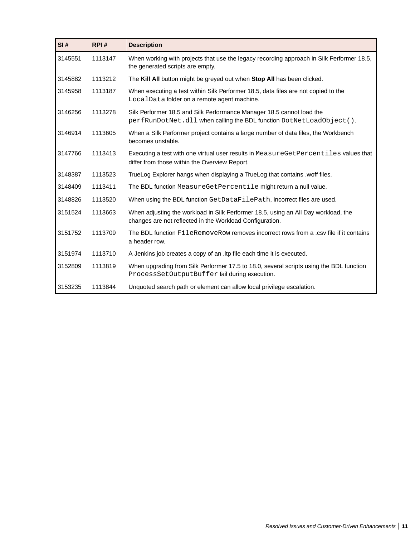| SI#     | RPI#    | <b>Description</b>                                                                                                                             |
|---------|---------|------------------------------------------------------------------------------------------------------------------------------------------------|
| 3145551 | 1113147 | When working with projects that use the legacy recording approach in Silk Performer 18.5,<br>the generated scripts are empty.                  |
| 3145882 | 1113212 | The Kill All button might be greyed out when Stop All has been clicked.                                                                        |
| 3145958 | 1113187 | When executing a test within Silk Performer 18.5, data files are not copied to the<br>LocalData folder on a remote agent machine.              |
| 3146256 | 1113278 | Silk Performer 18.5 and Silk Performance Manager 18.5 cannot load the<br>perfRunDotNet.dll when calling the BDL function DotNetLoadObject().   |
| 3146914 | 1113605 | When a Silk Performer project contains a large number of data files, the Workbench<br>becomes unstable.                                        |
| 3147766 | 1113413 | Executing a test with one virtual user results in MeasureGetPercentiles values that<br>differ from those within the Overview Report.           |
| 3148387 | 1113523 | TrueLog Explorer hangs when displaying a TrueLog that contains .woff files.                                                                    |
| 3148409 | 1113411 | The BDL function MeasureGetPercentile might return a null value.                                                                               |
| 3148826 | 1113520 | When using the BDL function GetDataFilePath, incorrect files are used.                                                                         |
| 3151524 | 1113663 | When adjusting the workload in Silk Performer 18.5, using an All Day workload, the<br>changes are not reflected in the Workload Configuration. |
| 3151752 | 1113709 | The BDL function FileRemoveRow removes incorrect rows from a .csy file if it contains<br>a header row.                                         |
| 3151974 | 1113710 | A Jenkins job creates a copy of an . Itp file each time it is executed.                                                                        |
| 3152809 | 1113819 | When upgrading from Silk Performer 17.5 to 18.0, several scripts using the BDL function<br>ProcessSetOutputBuffer fail during execution.       |
| 3153235 | 1113844 | Unquoted search path or element can allow local privilege escalation.                                                                          |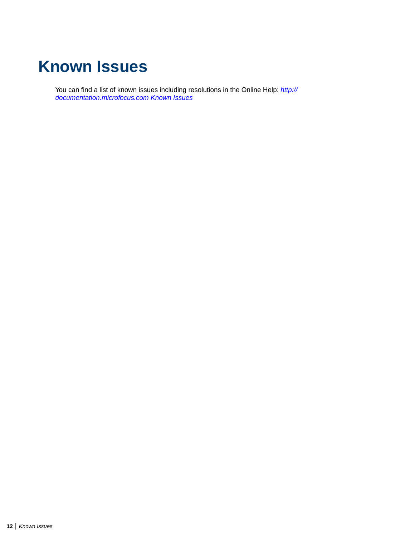## <span id="page-11-0"></span>**Known Issues**

You can find a list of known issues including resolutions in the Online Help: *[http://](http://documentation.microfocus.com/help/index.jsp?topic=%2Fcom.microfocus.silkperformer.doc%2FGUID-01F99EC8-9C97-4424-A305-C21E93304EA7.html) [documentation.microfocus.com Known Issues](http://documentation.microfocus.com/help/index.jsp?topic=%2Fcom.microfocus.silkperformer.doc%2FGUID-01F99EC8-9C97-4424-A305-C21E93304EA7.html)*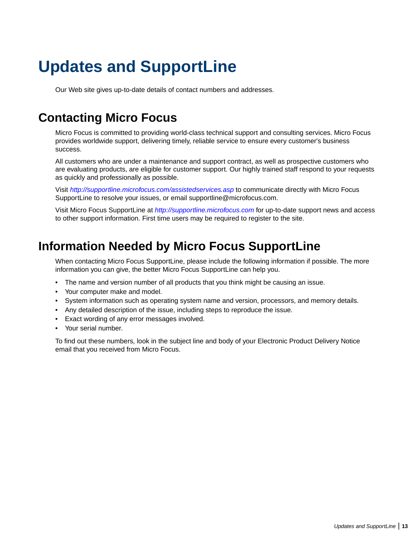## <span id="page-12-0"></span>**Updates and SupportLine**

Our Web site gives up-to-date details of contact numbers and addresses.

## **Contacting Micro Focus**

Micro Focus is committed to providing world-class technical support and consulting services. Micro Focus provides worldwide support, delivering timely, reliable service to ensure every customer's business success.

All customers who are under a maintenance and support contract, as well as prospective customers who are evaluating products, are eligible for customer support. Our highly trained staff respond to your requests as quickly and professionally as possible.

Visit *<http://supportline.microfocus.com/assistedservices.asp>* to communicate directly with Micro Focus SupportLine to resolve your issues, or email supportline@microfocus.com.

Visit Micro Focus SupportLine at *<http://supportline.microfocus.com>* for up-to-date support news and access to other support information. First time users may be required to register to the site.

## **Information Needed by Micro Focus SupportLine**

When contacting Micro Focus SupportLine, please include the following information if possible. The more information you can give, the better Micro Focus SupportLine can help you.

- The name and version number of all products that you think might be causing an issue.
- Your computer make and model.
- System information such as operating system name and version, processors, and memory details.
- Any detailed description of the issue, including steps to reproduce the issue.
- Exact wording of any error messages involved.
- Your serial number.

To find out these numbers, look in the subject line and body of your Electronic Product Delivery Notice email that you received from Micro Focus.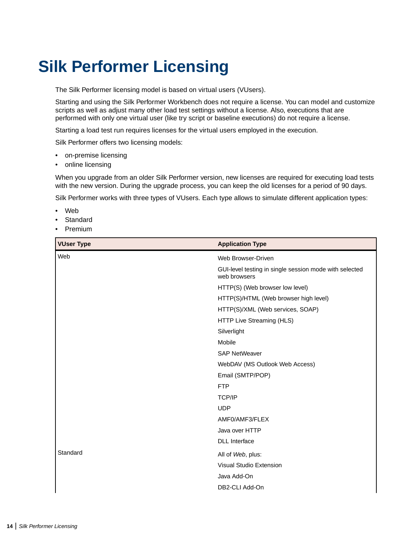## <span id="page-13-0"></span>**Silk Performer Licensing**

The Silk Performer licensing model is based on virtual users (VUsers).

Starting and using the Silk Performer Workbench does not require a license. You can model and customize scripts as well as adjust many other load test settings without a license. Also, executions that are performed with only one virtual user (like try script or baseline executions) do not require a license.

Starting a load test run requires licenses for the virtual users employed in the execution.

Silk Performer offers two licensing models:

- on-premise licensing
- online licensing

When you upgrade from an older Silk Performer version, new licenses are required for executing load tests with the new version. During the upgrade process, you can keep the old licenses for a period of 90 days.

Silk Performer works with three types of VUsers. Each type allows to simulate different application types:

- Web
- Standard
- Premium

| <b>VUser Type</b> | <b>Application Type</b>                                                |
|-------------------|------------------------------------------------------------------------|
| Web               | Web Browser-Driven                                                     |
|                   | GUI-level testing in single session mode with selected<br>web browsers |
|                   | HTTP(S) (Web browser low level)                                        |
|                   | HTTP(S)/HTML (Web browser high level)                                  |
|                   | HTTP(S)/XML (Web services, SOAP)                                       |
|                   | HTTP Live Streaming (HLS)                                              |
|                   | Silverlight                                                            |
|                   | Mobile                                                                 |
|                   | <b>SAP NetWeaver</b>                                                   |
|                   | WebDAV (MS Outlook Web Access)                                         |
|                   | Email (SMTP/POP)                                                       |
|                   | <b>FTP</b>                                                             |
|                   | <b>TCP/IP</b>                                                          |
|                   | <b>UDP</b>                                                             |
|                   | AMF0/AMF3/FLEX                                                         |
|                   | Java over HTTP                                                         |
|                   | <b>DLL</b> Interface                                                   |
| Standard          | All of Web, plus:                                                      |
|                   | Visual Studio Extension                                                |
|                   | Java Add-On                                                            |
|                   | DB2-CLI Add-On                                                         |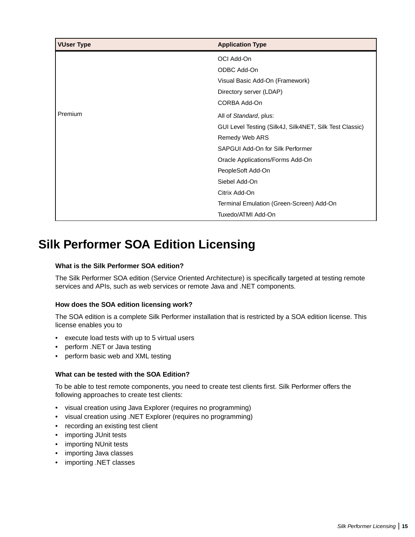<span id="page-14-0"></span>

| <b>VUser Type</b> | <b>Application Type</b>                                 |
|-------------------|---------------------------------------------------------|
|                   | OCI Add-On                                              |
|                   | ODBC Add-On                                             |
|                   | Visual Basic Add-On (Framework)                         |
|                   | Directory server (LDAP)                                 |
|                   | CORBA Add-On                                            |
| Premium           | All of Standard, plus:                                  |
|                   | GUI Level Testing (Silk4J, Silk4NET, Silk Test Classic) |
|                   | Remedy Web ARS                                          |
|                   | SAPGUI Add-On for Silk Performer                        |
|                   | Oracle Applications/Forms Add-On                        |
|                   | PeopleSoft Add-On                                       |
|                   | Siebel Add-On                                           |
|                   | Citrix Add-On                                           |
|                   | Terminal Emulation (Green-Screen) Add-On                |
|                   | Tuxedo/ATMI Add-On                                      |

### **Silk Performer SOA Edition Licensing**

#### **What is the Silk Performer SOA edition?**

The Silk Performer SOA edition (Service Oriented Architecture) is specifically targeted at testing remote services and APIs, such as web services or remote Java and .NET components.

#### **How does the SOA edition licensing work?**

The SOA edition is a complete Silk Performer installation that is restricted by a SOA edition license. This license enables you to

- execute load tests with up to 5 virtual users
- perform .NET or Java testing
- perform basic web and XML testing

#### **What can be tested with the SOA Edition?**

To be able to test remote components, you need to create test clients first. Silk Performer offers the following approaches to create test clients:

- visual creation using Java Explorer (requires no programming)
- visual creation using .NET Explorer (requires no programming)
- recording an existing test client
- importing JUnit tests
- importing NUnit tests
- importing Java classes
- importing .NET classes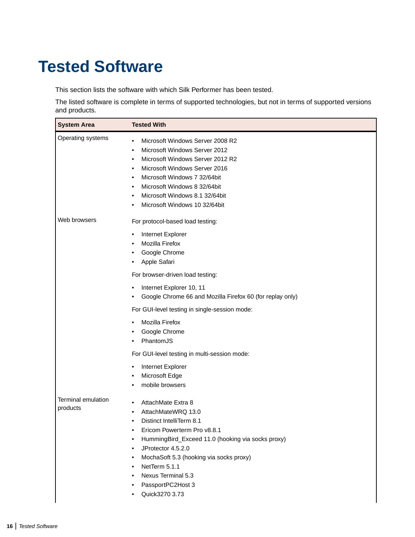## <span id="page-15-0"></span>**Tested Software**

This section lists the software with which Silk Performer has been tested.

The listed software is complete in terms of supported technologies, but not in terms of supported versions and products.

| <b>System Area</b>        | <b>Tested With</b>                                                                                                                                                                                                                                                                                                                |
|---------------------------|-----------------------------------------------------------------------------------------------------------------------------------------------------------------------------------------------------------------------------------------------------------------------------------------------------------------------------------|
| Operating systems         | Microsoft Windows Server 2008 R2<br>٠<br>Microsoft Windows Server 2012<br>٠<br>Microsoft Windows Server 2012 R2<br>٠<br>Microsoft Windows Server 2016<br>٠<br>Microsoft Windows 7 32/64bit<br>٠<br>Microsoft Windows 8 32/64bit<br>٠<br>Microsoft Windows 8.1 32/64bit<br>٠<br>Microsoft Windows 10 32/64bit                      |
| Web browsers              | For protocol-based load testing:<br>Internet Explorer<br>$\bullet$<br>Mozilla Firefox<br>٠<br>Google Chrome<br>Apple Safari                                                                                                                                                                                                       |
|                           | For browser-driven load testing:<br>Internet Explorer 10, 11<br>٠<br>Google Chrome 66 and Mozilla Firefox 60 (for replay only)<br>$\bullet$<br>For GUI-level testing in single-session mode:                                                                                                                                      |
|                           | Mozilla Firefox<br>$\bullet$<br>Google Chrome<br>٠<br>PhantomJS<br>٠<br>For GUI-level testing in multi-session mode:<br>Internet Explorer<br>٠                                                                                                                                                                                    |
| <b>Terminal emulation</b> | Microsoft Edge<br>mobile browsers<br>٠<br>AttachMate Extra 8<br>٠                                                                                                                                                                                                                                                                 |
| products                  | AttachMateWRQ 13.0<br>٠<br>Distinct IntelliTerm 8.1<br>$\bullet$<br>Ericom Powerterm Pro v8.8.1<br>٠<br>HummingBird_Exceed 11.0 (hooking via socks proxy)<br>٠<br>JProtector 4.5.2.0<br>٠<br>MochaSoft 5.3 (hooking via socks proxy)<br>٠<br>NetTerm 5.1.1<br>٠<br>Nexus Terminal 5.3<br>٠<br>PassportPC2Host 3<br>Quick3270 3.73 |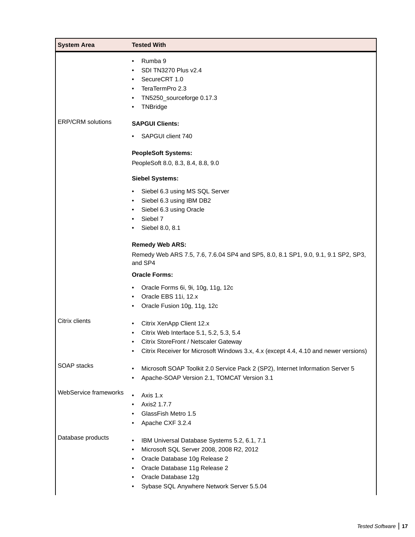| <b>System Area</b>       | <b>Tested With</b>                                                                                                                                                                                                                                                         |
|--------------------------|----------------------------------------------------------------------------------------------------------------------------------------------------------------------------------------------------------------------------------------------------------------------------|
|                          | Rumba 9<br>٠<br>SDI TN3270 Plus v2.4<br>$\bullet$<br>SecureCRT 1.0<br>٠<br>TeraTermPro 2.3<br>$\bullet$<br>TN5250_sourceforge 0.17.3<br>$\bullet$<br>TNBridge                                                                                                              |
| <b>ERP/CRM</b> solutions | <b>SAPGUI Clients:</b>                                                                                                                                                                                                                                                     |
|                          | SAPGUI client 740<br>$\bullet$                                                                                                                                                                                                                                             |
|                          | <b>PeopleSoft Systems:</b><br>PeopleSoft 8.0, 8.3, 8.4, 8.8, 9.0                                                                                                                                                                                                           |
|                          | <b>Siebel Systems:</b>                                                                                                                                                                                                                                                     |
|                          | Siebel 6.3 using MS SQL Server<br>$\bullet$<br>Siebel 6.3 using IBM DB2<br>$\bullet$<br>Siebel 6.3 using Oracle<br>$\bullet$<br>Siebel 7<br>Siebel 8.0, 8.1                                                                                                                |
|                          | <b>Remedy Web ARS:</b><br>Remedy Web ARS 7.5, 7.6, 7.6.04 SP4 and SP5, 8.0, 8.1 SP1, 9.0, 9.1, 9.1 SP2, SP3,<br>and SP4                                                                                                                                                    |
|                          | <b>Oracle Forms:</b>                                                                                                                                                                                                                                                       |
|                          | Oracle Forms 6i, 9i, 10g, 11g, 12c<br>$\bullet$<br>Oracle EBS 11i, 12.x<br>٠<br>Oracle Fusion 10g, 11g, 12c<br>٠                                                                                                                                                           |
| Citrix clients           | Citrix XenApp Client 12.x<br>$\bullet$<br>Citrix Web Interface 5.1, 5.2, 5.3, 5.4<br>Citrix StoreFront / Netscaler Gateway<br>Citrix Receiver for Microsoft Windows 3.x, 4.x (except 4.4, 4.10 and newer versions)                                                         |
| SOAP stacks              | Microsoft SOAP Toolkit 2.0 Service Pack 2 (SP2), Internet Information Server 5<br>$\bullet$<br>Apache-SOAP Version 2.1, TOMCAT Version 3.1<br>٠                                                                                                                            |
| WebService frameworks    | $\bullet$<br>Axis 1.x<br>Axis2 1.7.7<br>GlassFish Metro 1.5<br>Apache CXF 3.2.4<br>$\bullet$                                                                                                                                                                               |
| Database products        | IBM Universal Database Systems 5.2, 6.1, 7.1<br>$\bullet$<br>Microsoft SQL Server 2008, 2008 R2, 2012<br>$\bullet$<br>Oracle Database 10g Release 2<br>$\bullet$<br>Oracle Database 11g Release 2<br>٠<br>Oracle Database 12g<br>Sybase SQL Anywhere Network Server 5.5.04 |